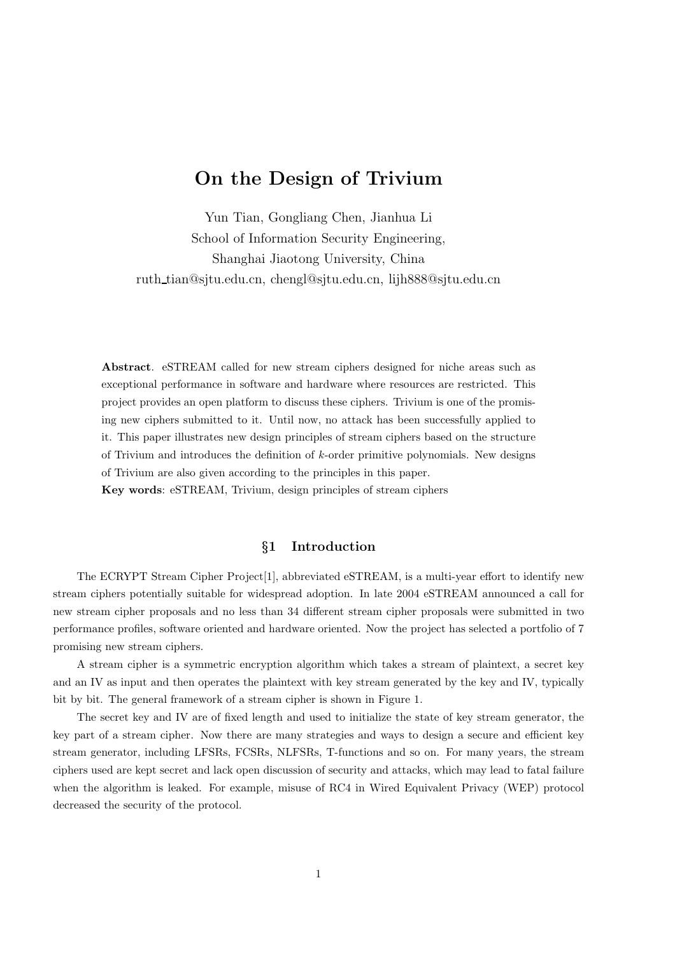# On the Design of Trivium

Yun Tian, Gongliang Chen, Jianhua Li School of Information Security Engineering, Shanghai Jiaotong University, China ruth tian@sjtu.edu.cn, chengl@sjtu.edu.cn, lijh888@sjtu.edu.cn

Abstract. eSTREAM called for new stream ciphers designed for niche areas such as exceptional performance in software and hardware where resources are restricted. This project provides an open platform to discuss these ciphers. Trivium is one of the promising new ciphers submitted to it. Until now, no attack has been successfully applied to it. This paper illustrates new design principles of stream ciphers based on the structure of Trivium and introduces the definition of  $k$ -order primitive polynomials. New designs of Trivium are also given according to the principles in this paper. Key words: eSTREAM, Trivium, design principles of stream ciphers

## §1 Introduction

The ECRYPT Stream Cipher Project[1], abbreviated eSTREAM, is a multi-year effort to identify new stream ciphers potentially suitable for widespread adoption. In late 2004 eSTREAM announced a call for new stream cipher proposals and no less than 34 different stream cipher proposals were submitted in two performance profiles, software oriented and hardware oriented. Now the project has selected a portfolio of 7 promising new stream ciphers.

A stream cipher is a symmetric encryption algorithm which takes a stream of plaintext, a secret key and an IV as input and then operates the plaintext with key stream generated by the key and IV, typically bit by bit. The general framework of a stream cipher is shown in Figure 1.

The secret key and IV are of fixed length and used to initialize the state of key stream generator, the key part of a stream cipher. Now there are many strategies and ways to design a secure and efficient key stream generator, including LFSRs, FCSRs, NLFSRs, T-functions and so on. For many years, the stream ciphers used are kept secret and lack open discussion of security and attacks, which may lead to fatal failure when the algorithm is leaked. For example, misuse of RC4 in Wired Equivalent Privacy (WEP) protocol decreased the security of the protocol.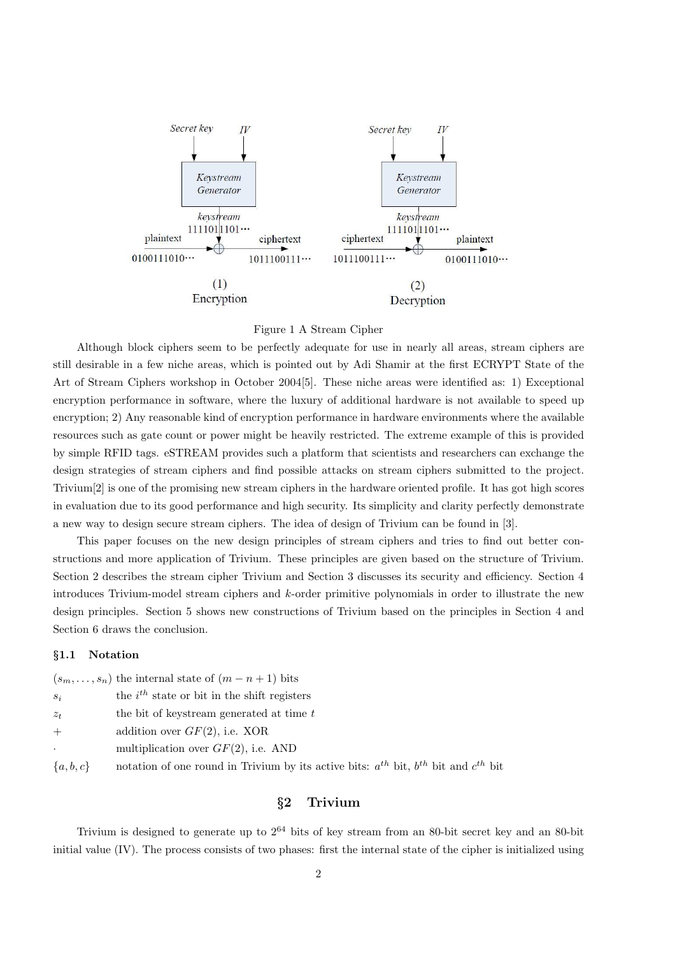

#### Figure 1 A Stream Cipher

Although block ciphers seem to be perfectly adequate for use in nearly all areas, stream ciphers are still desirable in a few niche areas, which is pointed out by Adi Shamir at the first ECRYPT State of the Art of Stream Ciphers workshop in October 2004[5]. These niche areas were identified as: 1) Exceptional encryption performance in software, where the luxury of additional hardware is not available to speed up encryption; 2) Any reasonable kind of encryption performance in hardware environments where the available resources such as gate count or power might be heavily restricted. The extreme example of this is provided by simple RFID tags. eSTREAM provides such a platform that scientists and researchers can exchange the design strategies of stream ciphers and find possible attacks on stream ciphers submitted to the project. Trivium[2] is one of the promising new stream ciphers in the hardware oriented profile. It has got high scores in evaluation due to its good performance and high security. Its simplicity and clarity perfectly demonstrate a new way to design secure stream ciphers. The idea of design of Trivium can be found in [3].

This paper focuses on the new design principles of stream ciphers and tries to find out better constructions and more application of Trivium. These principles are given based on the structure of Trivium. Section 2 describes the stream cipher Trivium and Section 3 discusses its security and efficiency. Section 4 introduces Trivium-model stream ciphers and k-order primitive polynomials in order to illustrate the new design principles. Section 5 shows new constructions of Trivium based on the principles in Section 4 and Section 6 draws the conclusion.

## §1.1 Notation

|                      | $(s_m, \ldots, s_n)$ the internal state of $(m - n + 1)$ bits                                    |
|----------------------|--------------------------------------------------------------------------------------------------|
| $S_i$                | the $i^{th}$ state or bit in the shift registers                                                 |
| $z_t$                | the bit of keystream generated at time t                                                         |
| $+$                  | addition over $GF(2)$ , i.e. XOR                                                                 |
| $\ddot{\phantom{0}}$ | multiplication over $GF(2)$ , i.e. AND                                                           |
| $\{a,b,c\}$          | notation of one round in Trivium by its active bits: $a^{th}$ bit, $b^{th}$ bit and $c^{th}$ bit |

# §2 Trivium

Trivium is designed to generate up to  $2^{64}$  bits of key stream from an 80-bit secret key and an 80-bit initial value (IV). The process consists of two phases: first the internal state of the cipher is initialized using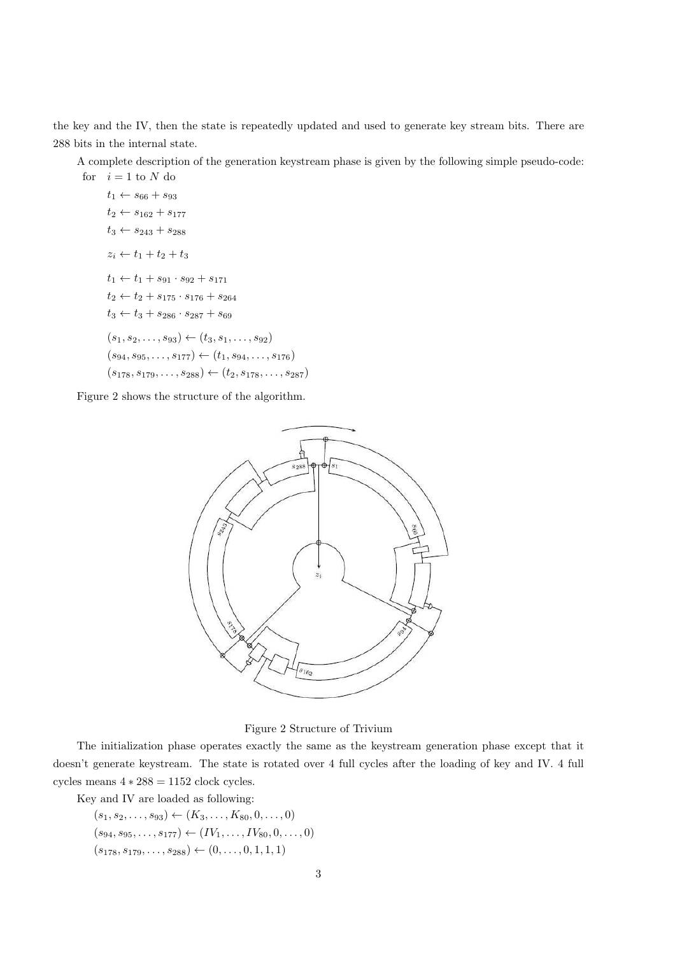the key and the IV, then the state is repeatedly updated and used to generate key stream bits. There are 288 bits in the internal state.

A complete description of the generation keystream phase is given by the following simple pseudo-code:

for 
$$
i = 1
$$
 to N do  
\n $t_1 \leftarrow s_{66} + s_{93}$   
\n $t_2 \leftarrow s_{162} + s_{177}$   
\n $t_3 \leftarrow s_{243} + s_{288}$   
\n $z_i \leftarrow t_1 + t_2 + t_3$   
\n $t_1 \leftarrow t_1 + s_{91} \cdot s_{92} + s_{171}$   
\n $t_2 \leftarrow t_2 + s_{175} \cdot s_{176} + s_{264}$   
\n $t_3 \leftarrow t_3 + s_{286} \cdot s_{287} + s_{69}$   
\n $(s_1, s_2, \ldots, s_{93}) \leftarrow (t_3, s_1, \ldots, s_{92})$   
\n $(s_{94}, s_{95}, \ldots, s_{177}) \leftarrow (t_1, s_{94}, \ldots, s_{176})$   
\n $(s_{178}, s_{179}, \ldots, s_{288}) \leftarrow (t_2, s_{178}, \ldots, s_{287})$ 

Figure 2 shows the structure of the algorithm.



Figure 2 Structure of Trivium

The initialization phase operates exactly the same as the keystream generation phase except that it doesn't generate keystream. The state is rotated over 4 full cycles after the loading of key and IV. 4 full cycles means  $4 * 288 = 1152$  clock cycles.

Key and IV are loaded as following:

 $(s_1, s_2, \ldots, s_{93}) \leftarrow (K_3, \ldots, K_{80}, 0, \ldots, 0)$  $(s_{94}, s_{95}, \ldots, s_{177}) \leftarrow (IV_1, \ldots, IV_{80}, 0, \ldots, 0)$  $(s_{178}, s_{179}, \ldots, s_{288}) \leftarrow (0, \ldots, 0, 1, 1, 1)$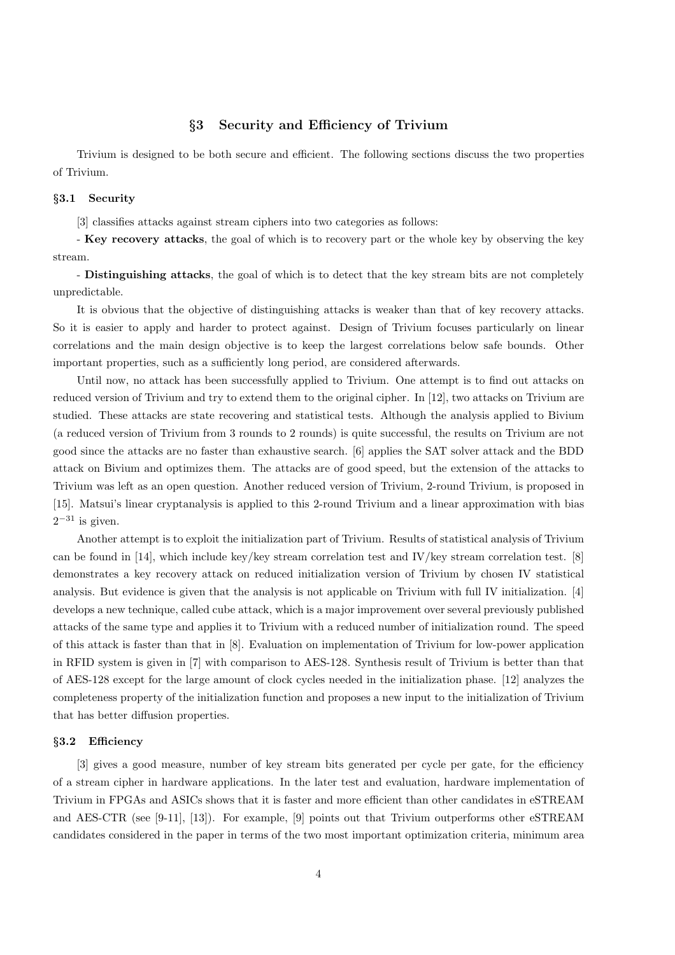# §3 Security and Efficiency of Trivium

Trivium is designed to be both secure and efficient. The following sections discuss the two properties of Trivium.

#### §3.1 Security

[3] classifies attacks against stream ciphers into two categories as follows:

- Key recovery attacks, the goal of which is to recovery part or the whole key by observing the key stream.

- Distinguishing attacks, the goal of which is to detect that the key stream bits are not completely unpredictable.

It is obvious that the objective of distinguishing attacks is weaker than that of key recovery attacks. So it is easier to apply and harder to protect against. Design of Trivium focuses particularly on linear correlations and the main design objective is to keep the largest correlations below safe bounds. Other important properties, such as a sufficiently long period, are considered afterwards.

Until now, no attack has been successfully applied to Trivium. One attempt is to find out attacks on reduced version of Trivium and try to extend them to the original cipher. In [12], two attacks on Trivium are studied. These attacks are state recovering and statistical tests. Although the analysis applied to Bivium (a reduced version of Trivium from 3 rounds to 2 rounds) is quite successful, the results on Trivium are not good since the attacks are no faster than exhaustive search. [6] applies the SAT solver attack and the BDD attack on Bivium and optimizes them. The attacks are of good speed, but the extension of the attacks to Trivium was left as an open question. Another reduced version of Trivium, 2-round Trivium, is proposed in [15]. Matsui's linear cryptanalysis is applied to this 2-round Trivium and a linear approximation with bias  $2^{-31}$  is given.

Another attempt is to exploit the initialization part of Trivium. Results of statistical analysis of Trivium can be found in [14], which include key/key stream correlation test and IV/key stream correlation test. [8] demonstrates a key recovery attack on reduced initialization version of Trivium by chosen IV statistical analysis. But evidence is given that the analysis is not applicable on Trivium with full IV initialization. [4] develops a new technique, called cube attack, which is a major improvement over several previously published attacks of the same type and applies it to Trivium with a reduced number of initialization round. The speed of this attack is faster than that in [8]. Evaluation on implementation of Trivium for low-power application in RFID system is given in [7] with comparison to AES-128. Synthesis result of Trivium is better than that of AES-128 except for the large amount of clock cycles needed in the initialization phase. [12] analyzes the completeness property of the initialization function and proposes a new input to the initialization of Trivium that has better diffusion properties.

#### §3.2 Efficiency

[3] gives a good measure, number of key stream bits generated per cycle per gate, for the efficiency of a stream cipher in hardware applications. In the later test and evaluation, hardware implementation of Trivium in FPGAs and ASICs shows that it is faster and more efficient than other candidates in eSTREAM and AES-CTR (see [9-11], [13]). For example, [9] points out that Trivium outperforms other eSTREAM candidates considered in the paper in terms of the two most important optimization criteria, minimum area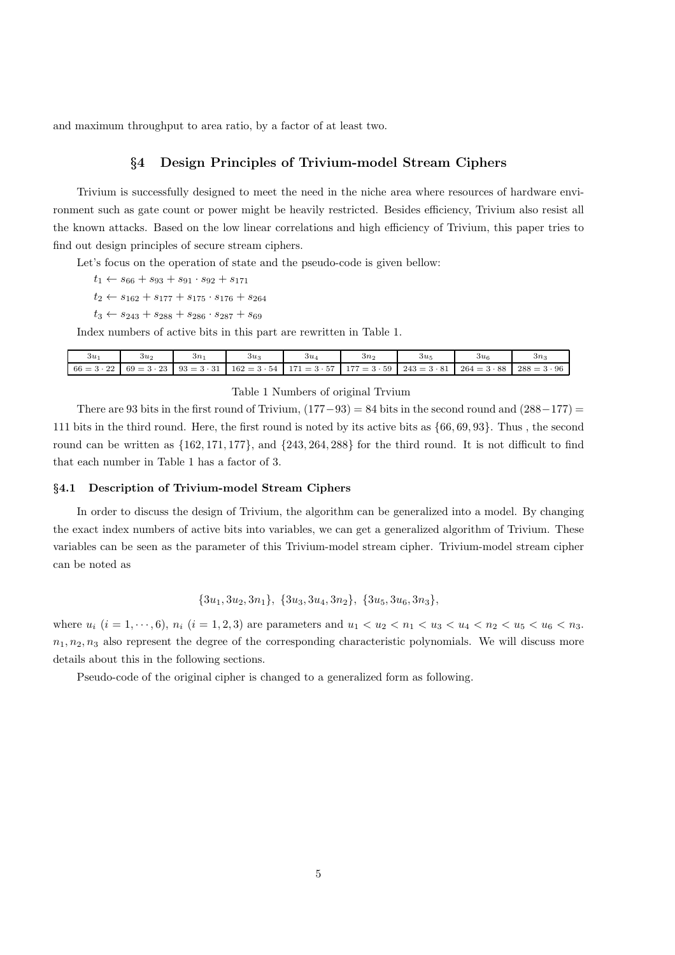and maximum throughput to area ratio, by a factor of at least two.

# §4 Design Principles of Trivium-model Stream Ciphers

Trivium is successfully designed to meet the need in the niche area where resources of hardware environment such as gate count or power might be heavily restricted. Besides efficiency, Trivium also resist all the known attacks. Based on the low linear correlations and high efficiency of Trivium, this paper tries to find out design principles of secure stream ciphers.

Let's focus on the operation of state and the pseudo-code is given bellow:

- $t_1 \leftarrow s_{66} + s_{93} + s_{91} \cdot s_{92} + s_{171}$
- $t_2 \leftarrow s_{162} + s_{177} + s_{175} \cdot s_{176} + s_{264}$
- $t_3 \leftarrow s_{243} + s_{288} + s_{286} \cdot s_{287} + s_{69}$

Index numbers of active bits in this part are rewritten in Table 1.

| зи                | $3u_2$            | зn                | $3u_3$             | 3u <sub>A</sub> | 3n <sub>2</sub>                       | $3u_5$             | $3u_6$             | $3n_1$             |
|-------------------|-------------------|-------------------|--------------------|-----------------|---------------------------------------|--------------------|--------------------|--------------------|
| $66 = 3 \cdot 22$ | $69 = 3 \cdot 23$ | $93 = 3 \cdot 31$ | $162 = 3 \cdot 54$ |                 | $171 = 3 \cdot 57$ $177 = 3 \cdot 59$ | $243 = 3 \cdot 81$ | $264 = 3 \cdot 88$ | $288 = 3 \cdot 96$ |

#### Table 1 Numbers of original Trvium

There are 93 bits in the first round of Trivium,  $(177-93) = 84$  bits in the second round and  $(288-177) =$ 111 bits in the third round. Here, the first round is noted by its active bits as {66, 69, 93}. Thus , the second round can be written as {162, 171, 177}, and {243, 264, 288} for the third round. It is not difficult to find that each number in Table 1 has a factor of 3.

#### §4.1 Description of Trivium-model Stream Ciphers

In order to discuss the design of Trivium, the algorithm can be generalized into a model. By changing the exact index numbers of active bits into variables, we can get a generalized algorithm of Trivium. These variables can be seen as the parameter of this Trivium-model stream cipher. Trivium-model stream cipher can be noted as

 $\{3u_1, 3u_2, 3n_1\}, \{3u_3, 3u_4, 3n_2\}, \{3u_5, 3u_6, 3n_3\},$ 

where  $u_i$   $(i = 1, \dots, 6)$ ,  $n_i$   $(i = 1, 2, 3)$  are parameters and  $u_1 < u_2 < u_1 < u_3 < u_4 < n_2 < u_5 < u_6 < n_3$ .  $n_1, n_2, n_3$  also represent the degree of the corresponding characteristic polynomials. We will discuss more details about this in the following sections.

Pseudo-code of the original cipher is changed to a generalized form as following.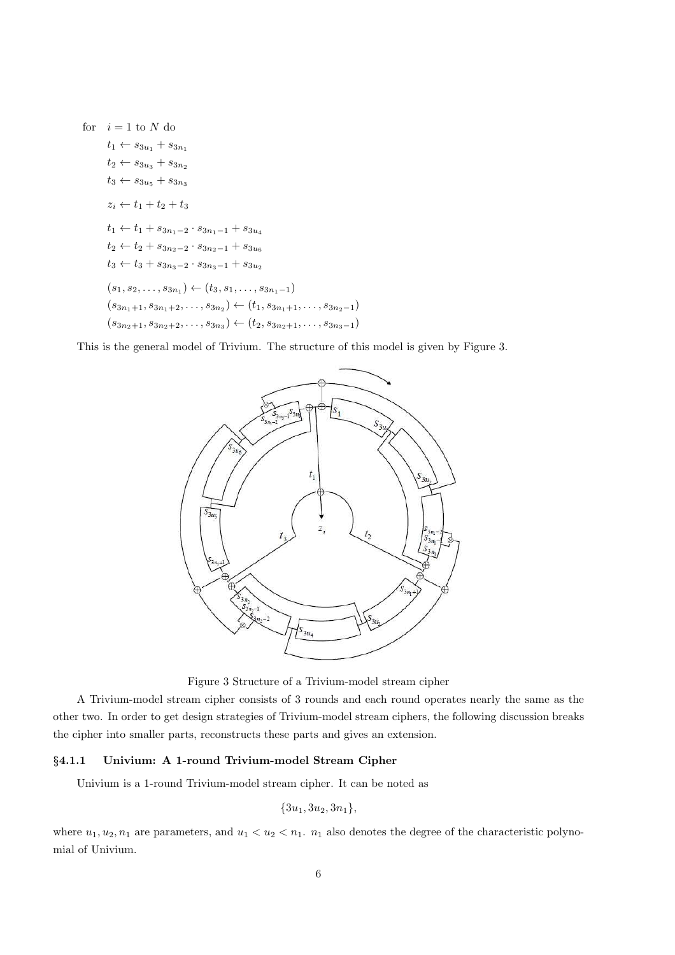for  $i = 1$  to N do  $t_1 \leftarrow s_{3u_1} + s_{3u_1}$  $t_2 \leftarrow s_{3u_3} + s_{3n_2}$  $t_3 \leftarrow s_{3u_5} + s_{3u_3}$  $z_i \leftarrow t_1 + t_2 + t_3$  $t_1 \leftarrow t_1 + s_{3n_1-2} \cdot s_{3n_1-1} + s_{3u_4}$  $t_2 \leftarrow t_2 + s_{3n_2-2} \cdot s_{3n_2-1} + s_{3u_6}$  $t_3 \leftarrow t_3 + s_{3n_3-2} \cdot s_{3n_3-1} + s_{3u_2}$  $(s_1, s_2, \ldots, s_{3n_1}) \leftarrow (t_3, s_1, \ldots, s_{3n_1-1})$  $(s_{3n_1+1}, s_{3n_1+2}, \ldots, s_{3n_2}) \leftarrow (t_1, s_{3n_1+1}, \ldots, s_{3n_2-1})$  $(s_{3n_2+1}, s_{3n_2+2}, \ldots, s_{3n_3}) \leftarrow (t_2, s_{3n_2+1}, \ldots, s_{3n_3-1})$ 

This is the general model of Trivium. The structure of this model is given by Figure 3.



Figure 3 Structure of a Trivium-model stream cipher

A Trivium-model stream cipher consists of 3 rounds and each round operates nearly the same as the other two. In order to get design strategies of Trivium-model stream ciphers, the following discussion breaks the cipher into smaller parts, reconstructs these parts and gives an extension.

#### §4.1.1 Univium: A 1-round Trivium-model Stream Cipher

Univium is a 1-round Trivium-model stream cipher. It can be noted as

$$
\{3u_1, 3u_2, 3n_1\},\
$$

where  $u_1, u_2, n_1$  are parameters, and  $u_1 < u_2 < n_1$ .  $n_1$  also denotes the degree of the characteristic polynomial of Univium.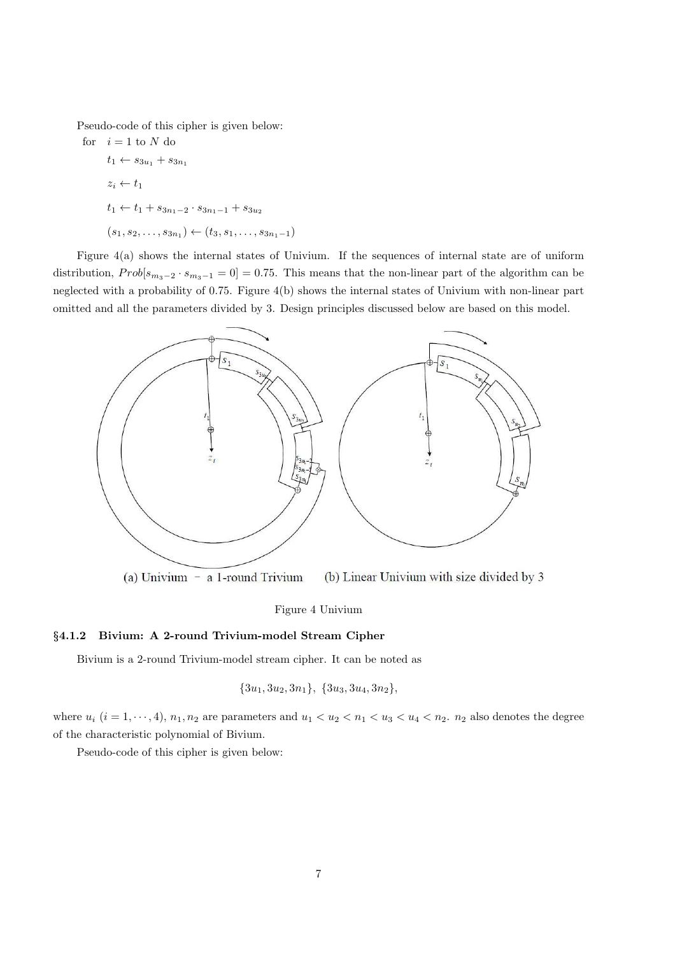Pseudo-code of this cipher is given below:

for  $i = 1$  to  $N$  do  $t_1 \leftarrow s_{3u_1} + s_{3u_1}$  $z_i \leftarrow t_1$  $t_1 \leftarrow t_1 + s_{3n_1-2} \cdot s_{3n_1-1} + s_{3n_2}$  $(s_1, s_2, \ldots, s_{3n_1}) \leftarrow (t_3, s_1, \ldots, s_{3n_1-1})$ 

Figure 4(a) shows the internal states of Univium. If the sequences of internal state are of uniform distribution,  $Prob[s_{m_3-2} \cdot s_{m_3-1} = 0] = 0.75$ . This means that the non-linear part of the algorithm can be neglected with a probability of 0.75. Figure 4(b) shows the internal states of Univium with non-linear part omitted and all the parameters divided by 3. Design principles discussed below are based on this model.



(a) Univium  $-$  a 1-round Trivium (b) Linear Univium with size divided by 3

Figure 4 Univium

#### §4.1.2 Bivium: A 2-round Trivium-model Stream Cipher

Bivium is a 2-round Trivium-model stream cipher. It can be noted as

$$
{3u1, 3u2, 3n1}, {3u3, 3u4, 3n2},
$$

where  $u_i$   $(i = 1, \dots, 4)$ ,  $n_1, n_2$  are parameters and  $u_1 < u_2 < n_1 < u_3 < u_4 < n_2$ .  $n_2$  also denotes the degree of the characteristic polynomial of Bivium.

Pseudo-code of this cipher is given below: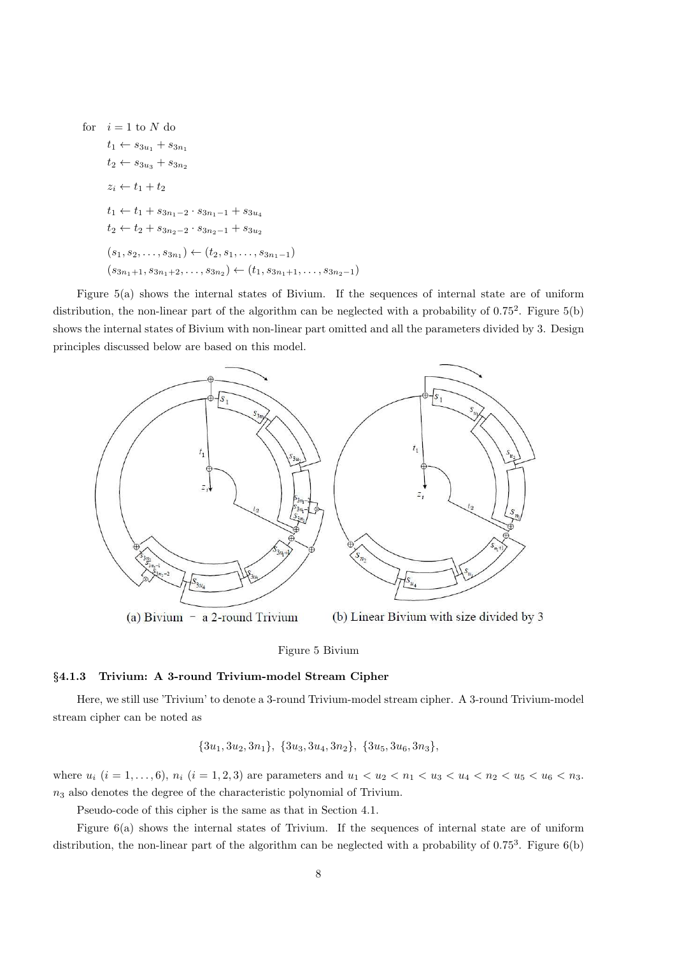for  $i = 1$  to N do  $t_1 \leftarrow s_{3u_1} + s_{3u_1}$  $t_2 \leftarrow s_{3u_3} + s_{3u_2}$  $z_i \leftarrow t_1 + t_2$  $t_1 \leftarrow t_1 + s_{3n_1-2} \cdot s_{3n_1-1} + s_{3u_4}$  $t_2 \leftarrow t_2 + s_{3n_2-2} \cdot s_{3n_2-1} + s_{3u_2}$  $(s_1, s_2, \ldots, s_{3n_1}) \leftarrow (t_2, s_1, \ldots, s_{3n_1-1})$  $(s_{3n_1+1}, s_{3n_1+2}, \ldots, s_{3n_2}) \leftarrow (t_1, s_{3n_1+1}, \ldots, s_{3n_2-1})$ 

Figure 5(a) shows the internal states of Bivium. If the sequences of internal state are of uniform distribution, the non-linear part of the algorithm can be neglected with a probability of  $0.75^2$ . Figure  $5(b)$ shows the internal states of Bivium with non-linear part omitted and all the parameters divided by 3. Design principles discussed below are based on this model.



(a) Bivium  $-$  a 2-round Trivium

(b) Linear Bivium with size divided by 3

#### Figure 5 Bivium

#### §4.1.3 Trivium: A 3-round Trivium-model Stream Cipher

Here, we still use 'Trivium' to denote a 3-round Trivium-model stream cipher. A 3-round Trivium-model stream cipher can be noted as

$$
{3u1, 3u2, 3n1}, {3u3, 3u4, 3n2}, {3u5, 3u6, 3n3},
$$

where  $u_i$   $(i = 1, ..., 6)$ ,  $n_i$   $(i = 1, 2, 3)$  are parameters and  $u_1 < u_2 < u_1 < u_3 < u_4 < u_2 < u_5 < u_6 < u_3$ .  $n_3$  also denotes the degree of the characteristic polynomial of Trivium.

Pseudo-code of this cipher is the same as that in Section 4.1.

Figure 6(a) shows the internal states of Trivium. If the sequences of internal state are of uniform distribution, the non-linear part of the algorithm can be neglected with a probability of  $0.75<sup>3</sup>$ . Figure  $6(b)$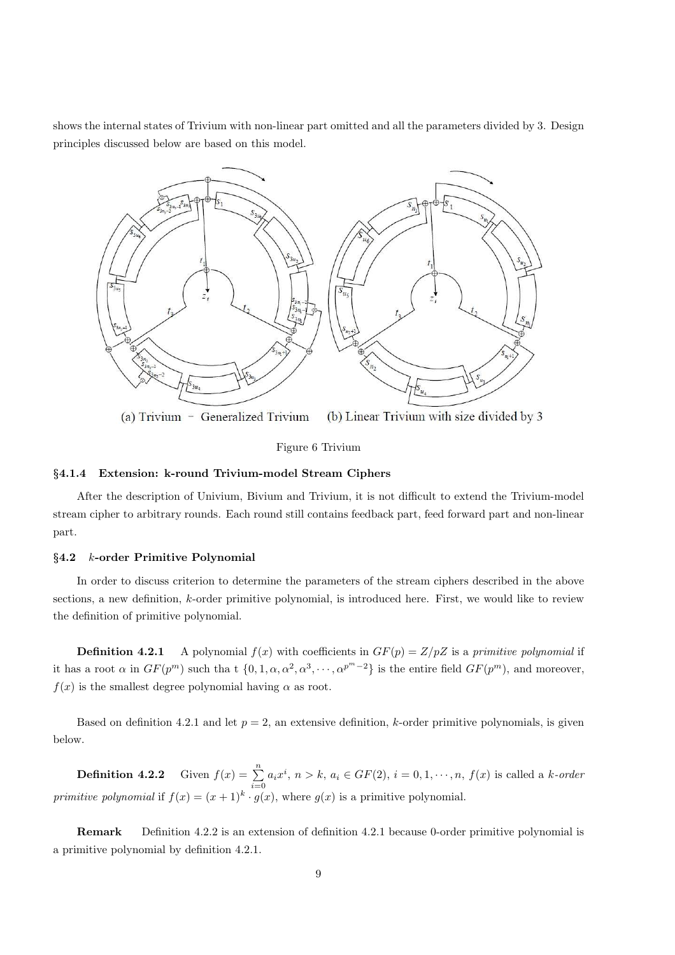shows the internal states of Trivium with non-linear part omitted and all the parameters divided by 3. Design principles discussed below are based on this model.



Figure 6 Trivium

## §4.1.4 Extension: k-round Trivium-model Stream Ciphers

After the description of Univium, Bivium and Trivium, it is not difficult to extend the Trivium-model stream cipher to arbitrary rounds. Each round still contains feedback part, feed forward part and non-linear part.

## $§4.2$  *k*-order Primitive Polynomial

In order to discuss criterion to determine the parameters of the stream ciphers described in the above sections, a new definition,  $k$ -order primitive polynomial, is introduced here. First, we would like to review the definition of primitive polynomial.

**Definition 4.2.1** A polynomial  $f(x)$  with coefficients in  $GF(p) = Z/pZ$  is a primitive polynomial if it has a root  $\alpha$  in  $GF(p^m)$  such that  $\{0, 1, \alpha, \alpha^2, \alpha^3, \cdots, \alpha^{p^m-2}\}$  is the entire field  $GF(p^m)$ , and moreover,  $f(x)$  is the smallest degree polynomial having  $\alpha$  as root.

Based on definition 4.2.1 and let  $p = 2$ , an extensive definition, k-order primitive polynomials, is given below.

**Definition 4.2.2** Given  $f(x) = \sum_{i=0}^{n} a_i x^i$ ,  $n > k$ ,  $a_i \in GF(2)$ ,  $i = 0, 1, \dots, n$ ,  $f(x)$  is called a *k*-order primitive polynomial if  $f(x) = (x+1)^k \cdot g(x)$ , where  $g(x)$  is a primitive polynomial.

Remark Definition 4.2.2 is an extension of definition 4.2.1 because 0-order primitive polynomial is a primitive polynomial by definition 4.2.1.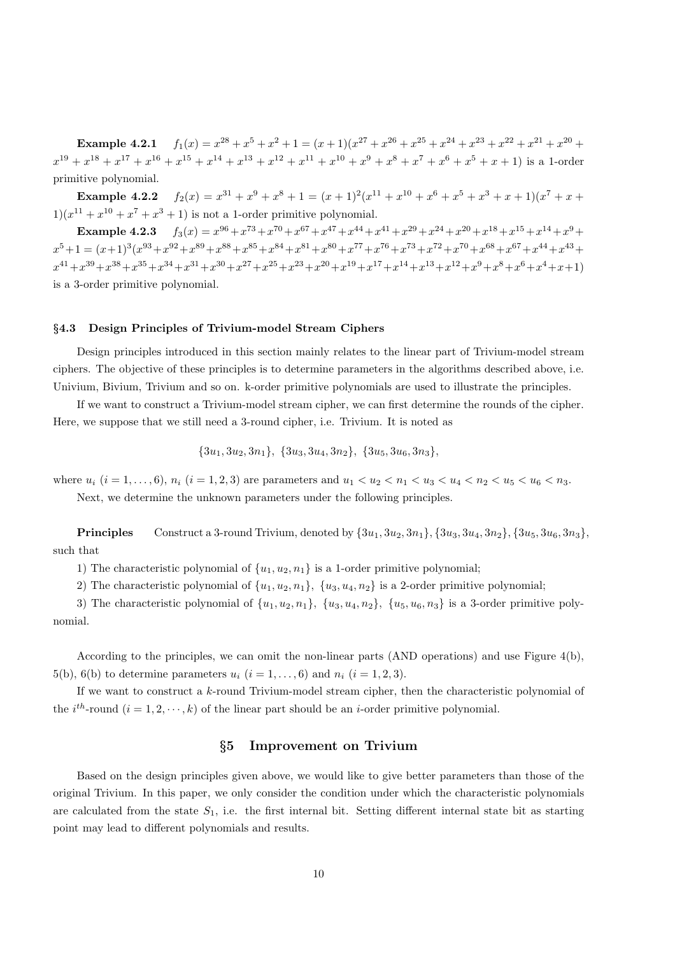Example 4.2.1  $f_1(x) = x^{28} + x^5 + x^2 + 1 = (x+1)(x^{27} + x^{26} + x^{25} + x^{24} + x^{23} + x^{22} + x^{21} + x^{20} + x^{22} + x^{21} + x^{23} + x^{24} + x^{25} + x^{26} + x^{27} + x^{28} + x^{29} + x^{20} + x^{21} + x^{22} + x^{23} + x^{24} + x^{25} + x^{26} + x^{27} + x^{28} + x^{29} + x^{20} + x^{21} + x^{22$  $x^{19} + x^{18} + x^{17} + x^{16} + x^{15} + x^{14} + x^{13} + x^{12} + x^{11} + x^{10} + x^9 + x^8 + x^7 + x^6 + x^5 + x + 1$ ) is a 1-order primitive polynomial.

Example  $4.2.2$  $3^{31} + x^9 + x^8 + 1 = (x+1)^2(x^{11} + x^{10} + x^6 + x^5 + x^3 + x + 1)(x^7 + x +$  $1(x^{11} + x^{10} + x^7 + x^3 + 1)$  is not a 1-order primitive polynomial.

Example 4.2.3  $f_3(x) = x^{96} + x^{73} + x^{70} + x^{67} + x^{47} + x^{44} + x^{41} + x^{29} + x^{24} + x^{20} + x^{18} + x^{15} + x^{14} + x^9 + x^{15} + x^{16} + x^{17} + x^{18} + x^{19} + x^{19} + x^{10} + x^{11} + x^{12} + x^{13} + x^{14} + x^{15} + x^{16} + x^{17} + x^{18} + x^{19} + x^{19} + x^{10} + x^{11} + x^{12$  $x^5+1 = (x+1)^3(x^{93}+x^{92}+x^{89}+x^{88}+x^{85}+x^{84}+x^{81}+x^{80}+x^{77}+x^{76}+x^{73}+x^{72}+x^{70}+x^{68}+x^{67}+x^{44}+x^{43}+$  $x^{41} + x^{39} + x^{38} + x^{35} + x^{34} + x^{30} + x^{27} + x^{25} + x^{23} + x^{20} + x^{19} + x^{17} + x^{14} + x^{13} + x^{12} + x^9 + x^8 + x^6 + x^4 + x + 1$ is a 3-order primitive polynomial.

## §4.3 Design Principles of Trivium-model Stream Ciphers

Design principles introduced in this section mainly relates to the linear part of Trivium-model stream ciphers. The objective of these principles is to determine parameters in the algorithms described above, i.e. Univium, Bivium, Trivium and so on. k-order primitive polynomials are used to illustrate the principles.

If we want to construct a Trivium-model stream cipher, we can first determine the rounds of the cipher. Here, we suppose that we still need a 3-round cipher, i.e. Trivium. It is noted as

$$
{3u1, 3u2, 3n1}, {3u3, 3u4, 3n2}, {3u5, 3u6, 3n3},
$$

where  $u_i$   $(i = 1, ..., 6)$ ,  $n_i$   $(i = 1, 2, 3)$  are parameters and  $u_1 < u_2 < n_1 < u_3 < u_4 < n_2 < u_5 < u_6 < n_3$ . Next, we determine the unknown parameters under the following principles.

**Principles** Construct a 3-round Trivium, denoted by  $\{3u_1, 3u_2, 3n_1\}, \{3u_3, 3u_4, 3n_2\}, \{3u_5, 3u_6, 3n_3\},\$ such that

1) The characteristic polynomial of  $\{u_1, u_2, n_1\}$  is a 1-order primitive polynomial;

2) The characteristic polynomial of  $\{u_1, u_2, n_1\}$ ,  $\{u_3, u_4, n_2\}$  is a 2-order primitive polynomial;

3) The characteristic polynomial of  $\{u_1, u_2, u_1\}$ ,  $\{u_3, u_4, u_2\}$ ,  $\{u_5, u_6, u_3\}$  is a 3-order primitive polynomial.

According to the principles, we can omit the non-linear parts (AND operations) and use Figure 4(b), 5(b), 6(b) to determine parameters  $u_i$   $(i = 1, \ldots, 6)$  and  $n_i$   $(i = 1, 2, 3)$ .

If we want to construct a  $k$ -round Trivium-model stream cipher, then the characteristic polynomial of the  $i^{th}$ -round  $(i = 1, 2, \dots, k)$  of the linear part should be an *i*-order primitive polynomial.

#### §5 Improvement on Trivium

Based on the design principles given above, we would like to give better parameters than those of the original Trivium. In this paper, we only consider the condition under which the characteristic polynomials are calculated from the state  $S_1$ , i.e. the first internal bit. Setting different internal state bit as starting point may lead to different polynomials and results.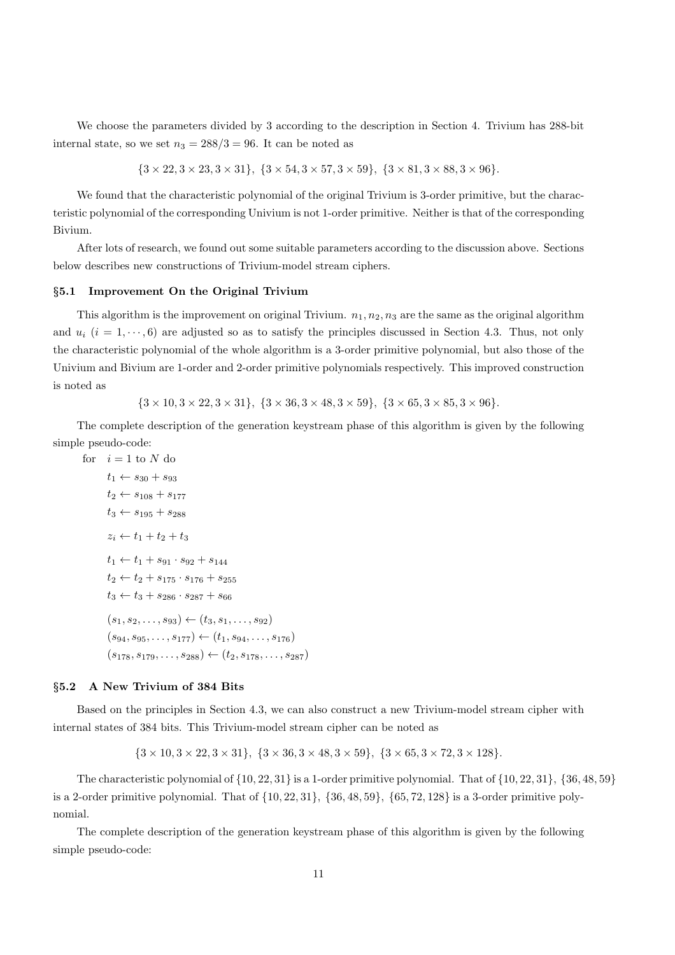We choose the parameters divided by 3 according to the description in Section 4. Trivium has 288-bit internal state, so we set  $n_3 = 288/3 = 96$ . It can be noted as

 ${3 \times 22, 3 \times 23, 3 \times 31}, {3 \times 54, 3 \times 57, 3 \times 59}, {3 \times 81, 3 \times 88, 3 \times 96}.$ 

We found that the characteristic polynomial of the original Trivium is 3-order primitive, but the characteristic polynomial of the corresponding Univium is not 1-order primitive. Neither is that of the corresponding Bivium.

After lots of research, we found out some suitable parameters according to the discussion above. Sections below describes new constructions of Trivium-model stream ciphers.

#### §5.1 Improvement On the Original Trivium

This algorithm is the improvement on original Trivium.  $n_1, n_2, n_3$  are the same as the original algorithm and  $u_i$   $(i = 1, \dots, 6)$  are adjusted so as to satisfy the principles discussed in Section 4.3. Thus, not only the characteristic polynomial of the whole algorithm is a 3-order primitive polynomial, but also those of the Univium and Bivium are 1-order and 2-order primitive polynomials respectively. This improved construction is noted as

 ${3 \times 10, 3 \times 22, 3 \times 31}, {3 \times 36, 3 \times 48, 3 \times 59}, {3 \times 65, 3 \times 85, 3 \times 96}.$ 

The complete description of the generation keystream phase of this algorithm is given by the following simple pseudo-code:

for  $i = 1$  to N do  $t_1 \leftarrow s_{30} + s_{93}$  $t_2 \leftarrow s_{108} + s_{177}$  $t_3 \leftarrow s_{195} + s_{288}$  $z_i \leftarrow t_1 + t_2 + t_3$  $t_1 \leftarrow t_1 + s_{91} \cdot s_{92} + s_{144}$  $t_2 \leftarrow t_2 + s_{175} \cdot s_{176} + s_{255}$  $t_3 \leftarrow t_3 + s_{286} \cdot s_{287} + s_{66}$  $(s_1, s_2, \ldots, s_{93}) \leftarrow (t_3, s_1, \ldots, s_{92})$  $(s_{94}, s_{95}, \ldots, s_{177}) \leftarrow (t_1, s_{94}, \ldots, s_{176})$  $(s_{178}, s_{179}, \ldots, s_{288}) \leftarrow (t_2, s_{178}, \ldots, s_{287})$ 

#### §5.2 A New Trivium of 384 Bits

Based on the principles in Section 4.3, we can also construct a new Trivium-model stream cipher with internal states of 384 bits. This Trivium-model stream cipher can be noted as

 ${3 \times 10, 3 \times 22, 3 \times 31}, {3 \times 36, 3 \times 48, 3 \times 59}, {3 \times 65, 3 \times 72, 3 \times 128}.$ 

The characteristic polynomial of  $\{10, 22, 31\}$  is a 1-order primitive polynomial. That of  $\{10, 22, 31\}$ ,  $\{36, 48, 59\}$ is a 2-order primitive polynomial. That of  $\{10, 22, 31\}$ ,  $\{36, 48, 59\}$ ,  $\{65, 72, 128\}$  is a 3-order primitive polynomial.

The complete description of the generation keystream phase of this algorithm is given by the following simple pseudo-code: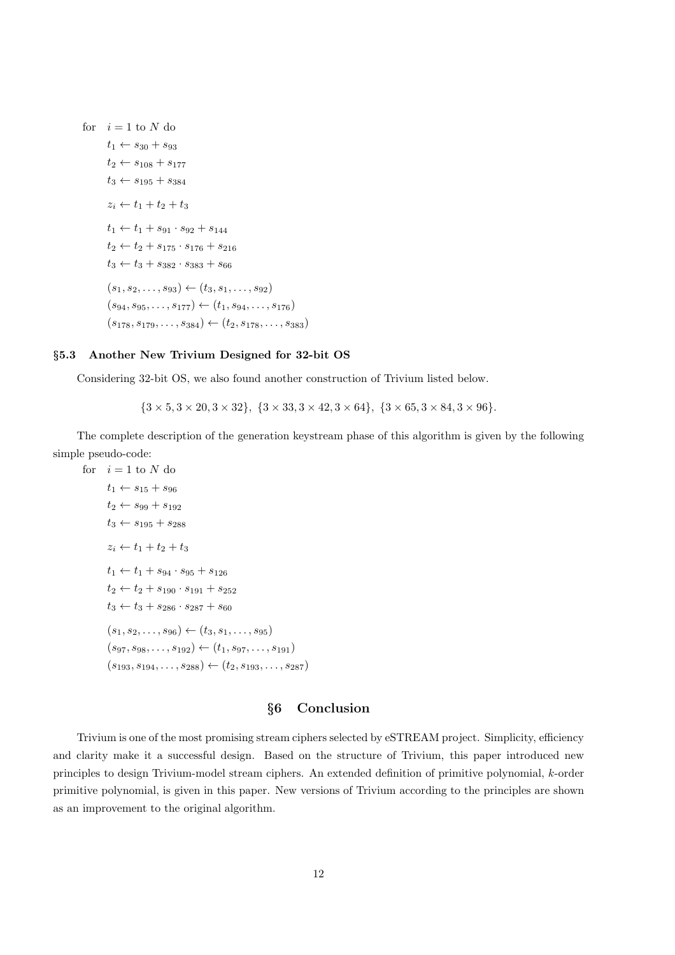for  $i = 1$  to N do  $t_1 \leftarrow s_{30} + s_{93}$  $t_2 \leftarrow s_{108} + s_{177}$  $t_3 \leftarrow s_{195} + s_{384}$  $z_i \leftarrow t_1 + t_2 + t_3$  $t_1 \leftarrow t_1 + s_{91} \cdot s_{92} + s_{144}$  $t_2 \leftarrow t_2 + s_{175} \cdot s_{176} + s_{216}$  $t_3 \leftarrow t_3 + s_{382} \cdot s_{383} + s_{66}$  $(s_1, s_2, \ldots, s_{93}) \leftarrow (t_3, s_1, \ldots, s_{92})$  $(s_{94}, s_{95}, \ldots, s_{177}) \leftarrow (t_1, s_{94}, \ldots, s_{176})$  $(s_{178}, s_{179}, \ldots, s_{384}) \leftarrow (t_2, s_{178}, \ldots, s_{383})$ 

## §5.3 Another New Trivium Designed for 32-bit OS

Considering 32-bit OS, we also found another construction of Trivium listed below.

 $\{3 \times 5, 3 \times 20, 3 \times 32\}, \{3 \times 33, 3 \times 42, 3 \times 64\}, \{3 \times 65, 3 \times 84, 3 \times 96\}.$ 

The complete description of the generation keystream phase of this algorithm is given by the following simple pseudo-code:

for  $i = 1$  to N do  $t_1 \leftarrow s_{15} + s_{96}$  $t_2 \leftarrow s_{99} + s_{192}$  $t_3 \leftarrow s_{195} + s_{288}$  $z_i \leftarrow t_1 + t_2 + t_3$  $t_1 \leftarrow t_1 + s_{94} \cdot s_{95} + s_{126}$  $t_2 \leftarrow t_2 + s_{190} \cdot s_{191} + s_{252}$  $t_3 \leftarrow t_3 + s_{286} \cdot s_{287} + s_{60}$  $(s_1, s_2, \ldots, s_{96}) \leftarrow (t_3, s_1, \ldots, s_{95})$  $(s_{97}, s_{98}, \ldots, s_{192}) \leftarrow (t_1, s_{97}, \ldots, s_{191})$  $(s_{193}, s_{194}, \ldots, s_{288}) \leftarrow (t_2, s_{193}, \ldots, s_{287})$ 

# §6 Conclusion

Trivium is one of the most promising stream ciphers selected by eSTREAM project. Simplicity, efficiency and clarity make it a successful design. Based on the structure of Trivium, this paper introduced new principles to design Trivium-model stream ciphers. An extended definition of primitive polynomial, k-order primitive polynomial, is given in this paper. New versions of Trivium according to the principles are shown as an improvement to the original algorithm.